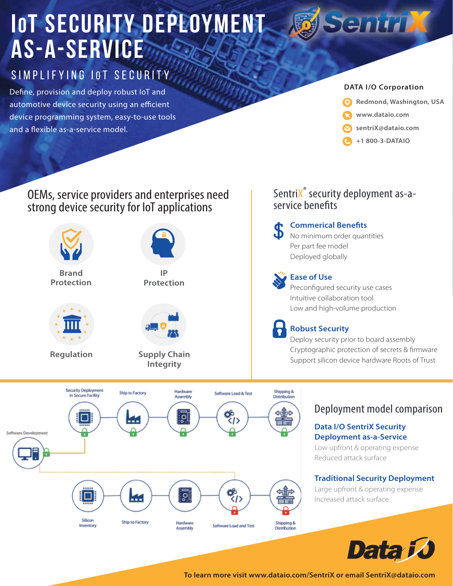# **IOT SECURITY DEPLOYMENT as-a-Service**

# SIMPLIFYING IOT SECURITY

Define, provision and deploy robust IoT and automotive device security using an efficient device programming system, easy-to-use tools and a flexible as-a-service model.

### **DATA I/O Corporation**

**Sentrix** 



- **www.dataio.com**
- **sentriX@dataio.com**
- **+1 800-3-DATAIO**

SentriX<sup>®</sup> security deployment as-a-

service benefits

### OEMs, service providers and enterprises need strong device security for IoT applications



### Cryptographic protection of secrets & firmware Support silicon device hardware Roots of Trust

### Deployment model comparison

### **Data I/O SentriX Security Deployment as-a-Service**

Low upfront & operating expense Reduced attack surface

### **Traditional Security Deployment**

Large upfront & operating expense Increased attack surface



**To learn more visit www.dataio.com/SentriX or email SentriX@dataio.com**